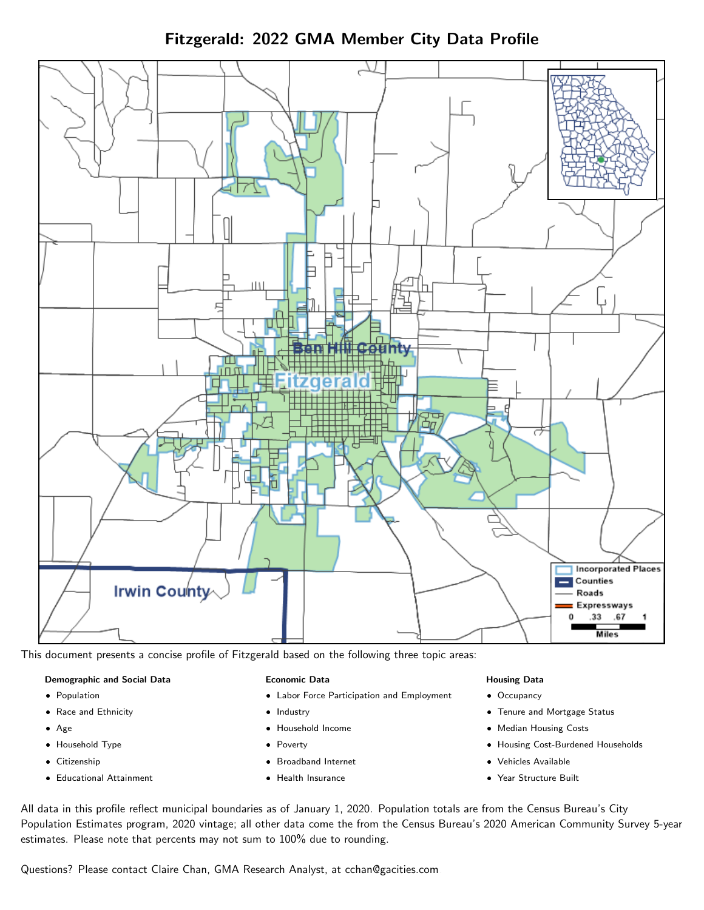Fitzgerald: 2022 GMA Member City Data Profile



This document presents a concise profile of Fitzgerald based on the following three topic areas:

#### Demographic and Social Data

- **•** Population
- Race and Ethnicity
- Age
- Household Type
- **Citizenship**
- Educational Attainment

#### Economic Data

- Labor Force Participation and Employment
- Industry
- Household Income
- Poverty
- Broadband Internet
- Health Insurance

#### Housing Data

- Occupancy
- Tenure and Mortgage Status
- Median Housing Costs
- Housing Cost-Burdened Households
- Vehicles Available
- Year Structure Built

All data in this profile reflect municipal boundaries as of January 1, 2020. Population totals are from the Census Bureau's City Population Estimates program, 2020 vintage; all other data come the from the Census Bureau's 2020 American Community Survey 5-year estimates. Please note that percents may not sum to 100% due to rounding.

Questions? Please contact Claire Chan, GMA Research Analyst, at [cchan@gacities.com.](mailto:cchan@gacities.com)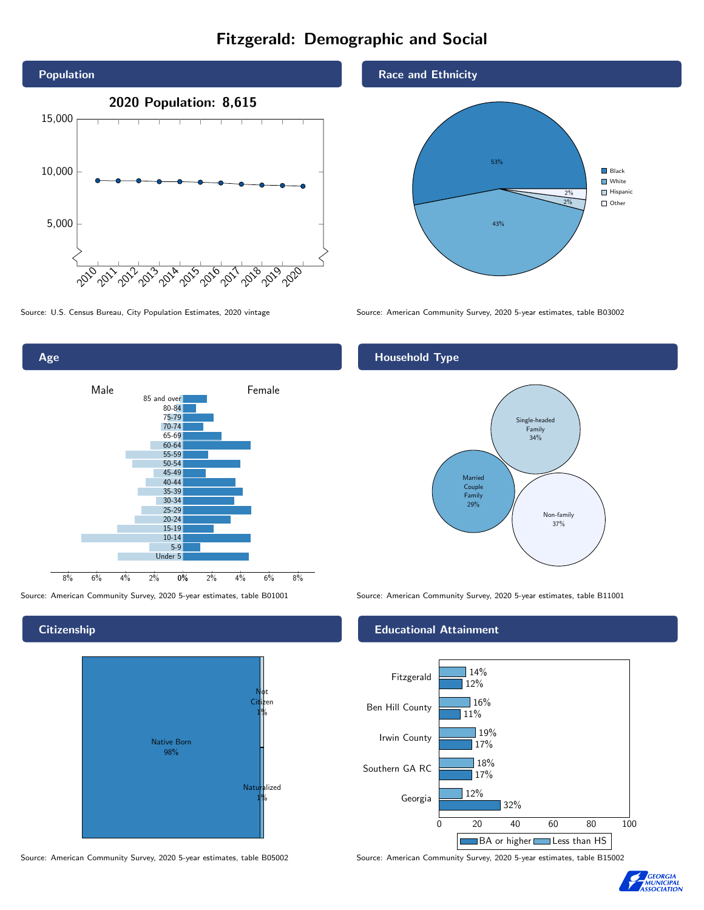# Fitzgerald: Demographic and Social





### **Citizenship**

Age



Source: American Community Survey, 2020 5-year estimates, table B05002 Source: American Community Survey, 2020 5-year estimates, table B15002





Source: U.S. Census Bureau, City Population Estimates, 2020 vintage Source: American Community Survey, 2020 5-year estimates, table B03002

## Household Type



Source: American Community Survey, 2020 5-year estimates, table B01001 Source: American Community Survey, 2020 5-year estimates, table B11001

#### Educational Attainment



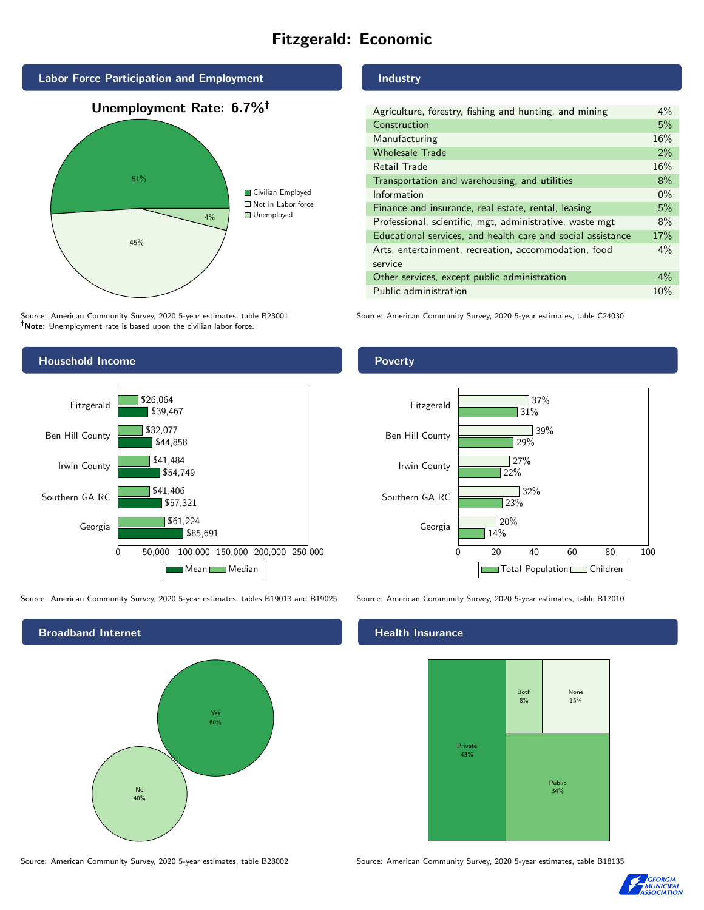# Fitzgerald: Economic



Source: American Community Survey, 2020 5-year estimates, table B23001 Note: Unemployment rate is based upon the civilian labor force.

### Industry

| Agriculture, forestry, fishing and hunting, and mining      | $4\%$ |
|-------------------------------------------------------------|-------|
| Construction                                                | 5%    |
| Manufacturing                                               | 16%   |
| <b>Wholesale Trade</b>                                      | 2%    |
| Retail Trade                                                | 16%   |
| Transportation and warehousing, and utilities               | 8%    |
| Information                                                 | $0\%$ |
| Finance and insurance, real estate, rental, leasing         | 5%    |
| Professional, scientific, mgt, administrative, waste mgt    | 8%    |
| Educational services, and health care and social assistance | 17%   |
| Arts, entertainment, recreation, accommodation, food        | $4\%$ |
| service                                                     |       |
| Other services, except public administration                | $4\%$ |
| Public administration                                       | 10%   |
|                                                             |       |

Source: American Community Survey, 2020 5-year estimates, table C24030



Source: American Community Survey, 2020 5-year estimates, tables B19013 and B19025 Source: American Community Survey, 2020 5-year estimates, table B17010

Broadband Internet No 40% Yes 60%

#### Health Insurance



Source: American Community Survey, 2020 5-year estimates, table B28002 Source: American Community Survey, 2020 5-year estimates, table B18135



## Poverty